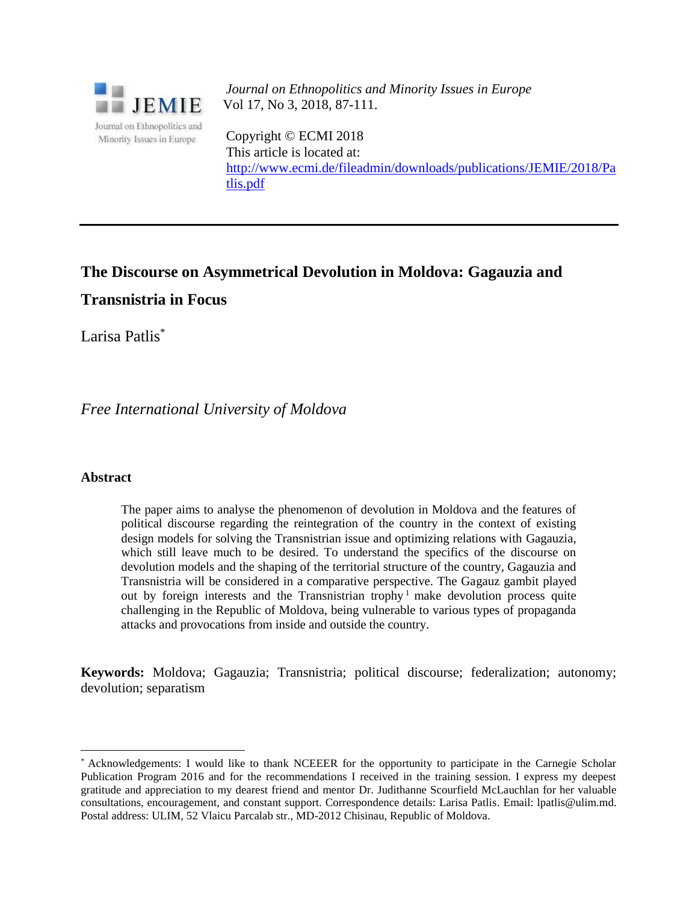

*Journal on Ethnopolitics and Minority Issues in Europe* Vol 17, No 3, 2018, 87-111.

Copyright © ECMI 2018 This article is located at: [http://www.ecmi.de/fileadmin/downloads/publications/JEMIE/2018/Pa](http://www.ecmi.de/fileadmin/downloads/publications/JEMIE/2018/Patlis.pdf) [tlis.pdf](http://www.ecmi.de/fileadmin/downloads/publications/JEMIE/2018/Patlis.pdf)

# **The Discourse on Asymmetrical Devolution in Moldova: Gagauzia and Transnistria in Focus**

Larisa Patlis\*

*Free International University of Moldova*

# **Abstract**

l

The paper aims to analyse the phenomenon of devolution in Moldova and the features of political discourse regarding the reintegration of the country in the context of existing design models for solving the Transnistrian issue and optimizing relations with Gagauzia, which still leave much to be desired. To understand the specifics of the discourse on devolution models and the shaping of the territorial structure of the country, Gagauzia and Transnistria will be considered in a comparative perspective. The Gagauz gambit played out by foreign interests and the Transnistrian trophy<sup>1</sup> make devolution process quite challenging in the Republic of Moldova, being vulnerable to various types of propaganda attacks and provocations from inside and outside the country.

**Keywords:** Moldova; Gagauzia; Transnistria; political discourse; federalization; autonomy; devolution; separatism

<sup>\*</sup> Acknowledgements: I would like to thank NCEEER for the opportunity to participate in the Carnegie Scholar Publication Program 2016 and for the recommendations I received in the training session. I express my deepest gratitude and appreciation to my dearest friend and mentor Dr. Judithanne Scourfield McLauchlan for her valuable consultations, encouragement, and constant support. Correspondence details: Larisa Patlis. Email: lpatlis@ulim.md. Postal address: ULIM, 52 Vlaicu Parcalab str., MD-2012 Chisinau, Republic of Moldova.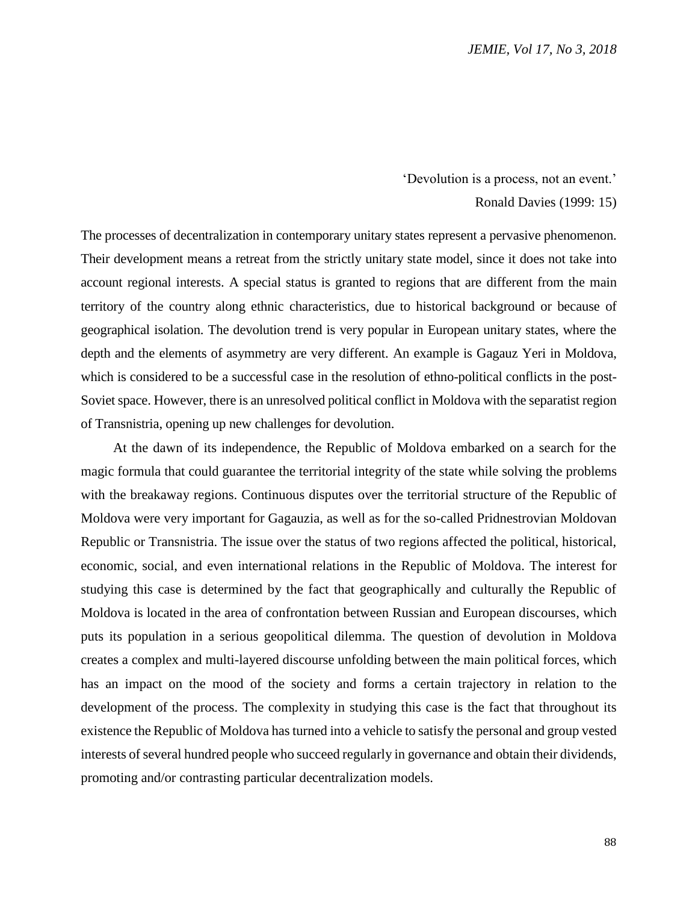#### 'Devolution is a process, not an event.'

## Ronald Davies (1999: 15)

The processes of decentralization in contemporary unitary states represent a pervasive phenomenon. Their development means a retreat from the strictly unitary state model, since it does not take into account regional interests. A special status is granted to regions that are different from the main territory of the country along ethnic characteristics, due to historical background or because of geographical isolation. The devolution trend is very popular in European unitary states, where the depth and the elements of asymmetry are very different. An example is Gagauz Yeri in Moldova, which is considered to be a successful case in the resolution of ethno-political conflicts in the post-Soviet space. However, there is an unresolved political conflict in Moldova with the separatist region of Transnistria, opening up new challenges for devolution.

At the dawn of its independence, the Republic of Moldova embarked on a search for the magic formula that could guarantee the territorial integrity of the state while solving the problems with the breakaway regions. Continuous disputes over the territorial structure of the Republic of Moldova were very important for Gagauzia, as well as for the so-called Pridnestrovian Moldovan Republic or Transnistria. The issue over the status of two regions affected the political, historical, economic, social, and even international relations in the Republic of Moldova. The interest for studying this case is determined by the fact that geographically and culturally the Republic of Moldova is located in the area of confrontation between Russian and European discourses, which puts its population in a serious geopolitical dilemma. The question of devolution in Moldova creates a complex and multi-layered discourse unfolding between the main political forces, which has an impact on the mood of the society and forms a certain trajectory in relation to the development of the process. The complexity in studying this case is the fact that throughout its existence the Republic of Moldova has turned into a vehicle to satisfy the personal and group vested interests of several hundred people who succeed regularly in governance and obtain their dividends, promoting and/or contrasting particular decentralization models.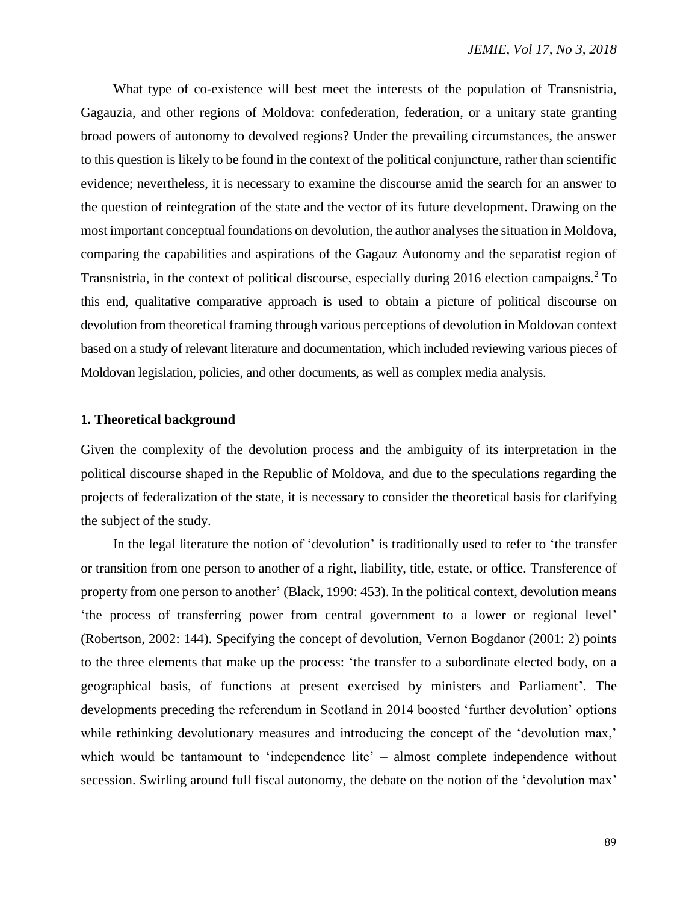What type of co-existence will best meet the interests of the population of Transnistria, Gagauzia, and other regions of Moldova: confederation, federation, or a unitary state granting broad powers of autonomy to devolved regions? Under the prevailing circumstances, the answer to this question is likely to be found in the context of the political conjuncture, rather than scientific evidence; nevertheless, it is necessary to examine the discourse amid the search for an answer to the question of reintegration of the state and the vector of its future development. Drawing on the most important conceptual foundations on devolution, the author analyses the situation in Moldova, comparing the capabilities and aspirations of the Gagauz Autonomy and the separatist region of Transnistria, in the context of political discourse, especially during 2016 election campaigns. <sup>2</sup> To this end, qualitative comparative approach is used to obtain a picture of political discourse on devolution from theoretical framing through various perceptions of devolution in Moldovan context based on a study of relevant literature and documentation, which included reviewing various pieces of Moldovan legislation, policies, and other documents, as well as complex media analysis.

## **1. Theoretical background**

Given the complexity of the devolution process and the ambiguity of its interpretation in the political discourse shaped in the Republic of Moldova, and due to the speculations regarding the projects of federalization of the state, it is necessary to consider the theoretical basis for clarifying the subject of the study.

In the legal literature the notion of 'devolution' is traditionally used to refer to 'the transfer or transition from one person to another of a right, liability, title, estate, or office. Transference of property from one person to another' (Black, 1990: 453). In the political context, devolution means 'the process of transferring power from central government to a lower or regional level' (Robertson, 2002: 144). Specifying the concept of devolution, Vernon Bogdanor (2001: 2) points to the three elements that make up the process: 'the transfer to a subordinate elected body, on a geographical basis, of functions at present exercised by ministers and Parliament'. The developments preceding the referendum in Scotland in 2014 boosted 'further devolution' options while rethinking devolutionary measures and introducing the concept of the 'devolution max,' which would be tantamount to 'independence lite' – almost complete independence without secession. Swirling around full fiscal autonomy, the debate on the notion of the 'devolution max'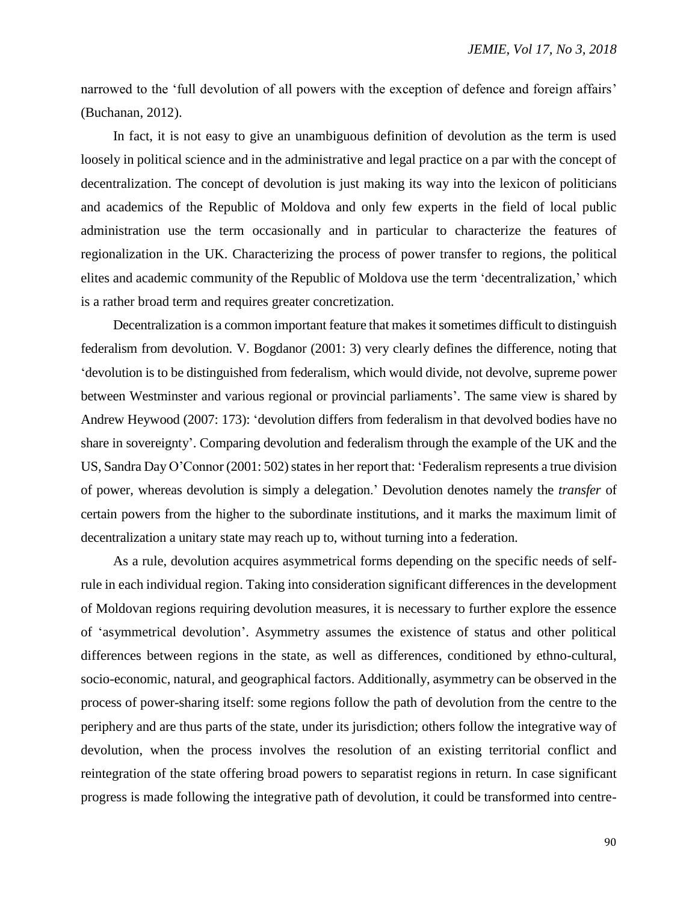narrowed to the 'full devolution of all powers with the exception of defence and foreign affairs' (Buchanan, 2012).

In fact, it is not easy to give an unambiguous definition of devolution as the term is used loosely in political science and in the administrative and legal practice on a par with the concept of decentralization. The concept of devolution is just making its way into the lexicon of politicians and academics of the Republic of Moldova and only few experts in the field of local public administration use the term occasionally and in particular to characterize the features of regionalization in the UK. Characterizing the process of power transfer to regions, the political elites and academic community of the Republic of Moldova use the term 'decentralization,' which is a rather broad term and requires greater concretization.

Decentralization is a common important feature that makes it sometimes difficult to distinguish federalism from devolution. V. Bogdanor (2001: 3) very clearly defines the difference, noting that 'devolution is to be distinguished from federalism, which would divide, not devolve, supreme power between Westminster and various regional or provincial parliaments'. The same view is shared by Andrew Heywood (2007: 173): 'devolution differs from federalism in that devolved bodies have no share in sovereignty'. Comparing devolution and federalism through the example of the UK and the US, Sandra Day O'Connor (2001: 502) states in her report that: 'Federalism represents a true division of power, whereas devolution is simply a delegation.' Devolution denotes namely the *transfer* of certain powers from the higher to the subordinate institutions, and it marks the maximum limit of decentralization a unitary state may reach up to, without turning into a federation.

As a rule, devolution acquires asymmetrical forms depending on the specific needs of selfrule in each individual region. Taking into consideration significant differences in the development of Moldovan regions requiring devolution measures, it is necessary to further explore the essence of 'asymmetrical devolution'. Asymmetry assumes the existence of status and other political differences between regions in the state, as well as differences, conditioned by ethno-cultural, socio-economic, natural, and geographical factors. Additionally, asymmetry can be observed in the process of power-sharing itself: some regions follow the path of devolution from the centre to the periphery and are thus parts of the state, under its jurisdiction; others follow the integrative way of devolution, when the process involves the resolution of an existing territorial conflict and reintegration of the state offering broad powers to separatist regions in return. In case significant progress is made following the integrative path of devolution, it could be transformed into centre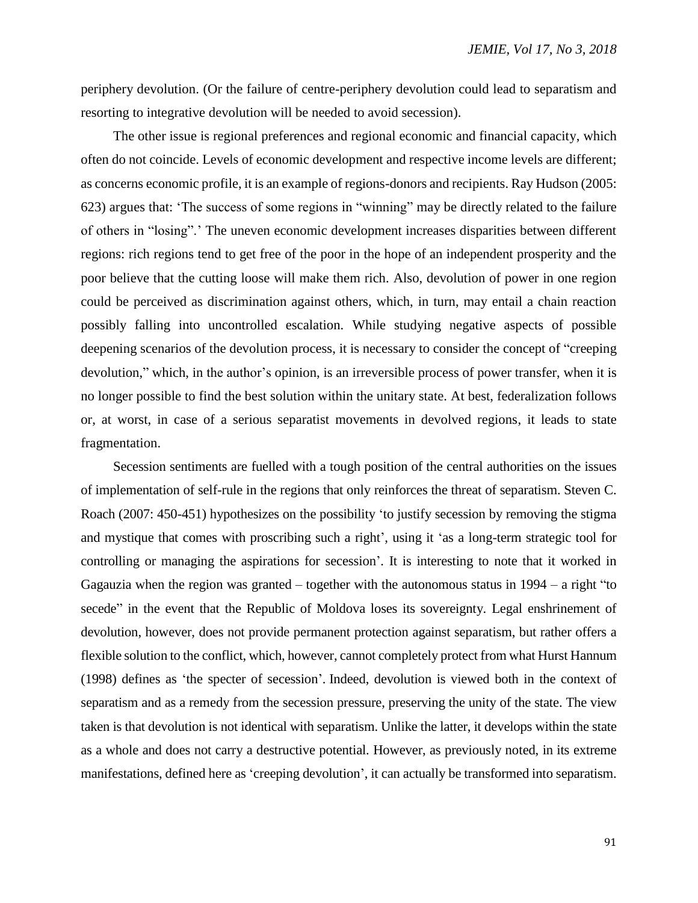periphery devolution. (Or the failure of centre-periphery devolution could lead to separatism and resorting to integrative devolution will be needed to avoid secession).

The other issue is regional preferences and regional economic and financial capacity, which often do not coincide. Levels of economic development and respective income levels are different; as concerns economic profile, it is an example of regions-donors and recipients. Ray Hudson (2005: 623) argues that: 'The success of some regions in "winning" may be directly related to the failure of others in "losing".' The uneven economic development increases disparities between different regions: rich regions tend to get free of the poor in the hope of an independent prosperity and the poor believe that the cutting loose will make them rich. Also, devolution of power in one region could be perceived as discrimination against others, which, in turn, may entail a chain reaction possibly falling into uncontrolled escalation. While studying negative aspects of possible deepening scenarios of the devolution process, it is necessary to consider the concept of "creeping devolution," which, in the author's opinion, is an irreversible process of power transfer, when it is no longer possible to find the best solution within the unitary state. At best, federalization follows or, at worst, in case of a serious separatist movements in devolved regions, it leads to state fragmentation.

Secession sentiments are fuelled with a tough position of the central authorities on the issues of implementation of self-rule in the regions that only reinforces the threat of separatism. Steven C. Roach (2007: 450-451) hypothesizes on the possibility 'to justify secession by removing the stigma and mystique that comes with proscribing such a right', using it 'as a long-term strategic tool for controlling or managing the aspirations for secession'. It is interesting to note that it worked in Gagauzia when the region was granted – together with the autonomous status in  $1994 - a$  right "to" secede" in the event that the Republic of Moldova loses its sovereignty. Legal enshrinement of devolution, however, does not provide permanent protection against separatism, but rather offers a flexible solution to the conflict, which, however, cannot completely protect from what Hurst Hannum (1998) defines as 'the specter of secession'. Indeed, devolution is viewed both in the context of separatism and as a remedy from the secession pressure, preserving the unity of the state. The view taken is that devolution is not identical with separatism. Unlike the latter, it develops within the state as a whole and does not carry a destructive potential. However, as previously noted, in its extreme manifestations, defined here as 'creeping devolution', it can actually be transformed into separatism.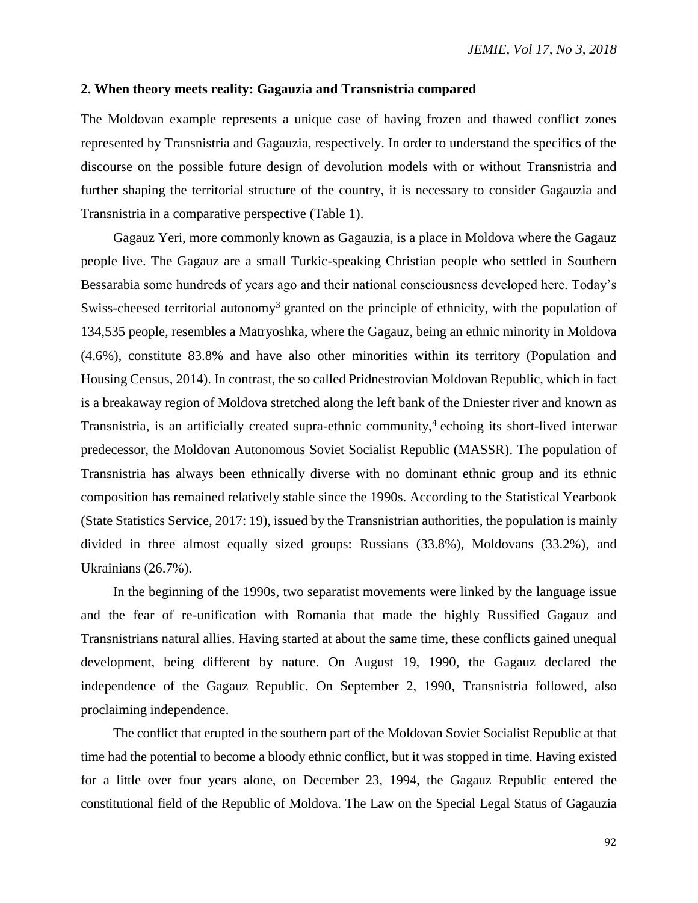## **2. When theory meets reality: Gagauzia and Transnistria compared**

The Moldovan example represents a unique case of having frozen and thawed conflict zones represented by Transnistria and Gagauzia, respectively. In order to understand the specifics of the discourse on the possible future design of devolution models with or without Transnistria and further shaping the territorial structure of the country, it is necessary to consider Gagauzia and Transnistria in a comparative perspective (Table 1).

Gagauz Yeri, more commonly known as Gagauzia, is a place in Moldova where the Gagauz people live. The Gagauz are a small Turkic-speaking Christian people who settled in Southern Bessarabia some hundreds of years ago and their national consciousness developed here. Today's Swiss-cheesed territorial autonomy<sup>3</sup> granted on the principle of ethnicity, with the population of 134,535 people, resembles a Matryoshka, where the Gagauz, being an ethnic minority in Moldova (4.6%), constitute 83.8% and have also other minorities within its territory (Population and Housing Census, 2014). In contrast, the so called Pridnestrovian Moldovan Republic, which in fact is a breakaway region of Moldova stretched along the left bank of the Dniester river and known as Transnistria, is an artificially created supra-ethnic community, 4 echoing its short-lived interwar predecessor, the Moldovan Autonomous Soviet Socialist Republic (MASSR). The population of Transnistria has always been ethnically diverse with no dominant ethnic group and its ethnic composition has remained relatively stable since the 1990s. According to the Statistical Yearbook (State Statistics Service, 2017: 19), issued by the Transnistrian authorities, the population is mainly divided in three almost equally sized groups: Russians (33.8%), Moldovans (33.2%), and Ukrainians (26.7%).

In the beginning of the 1990s, two separatist movements were linked by the language issue and the fear of re-unification with Romania that made the highly Russified Gagauz and Transnistrians natural allies. Having started at about the same time, these conflicts gained unequal development, being different by nature. On August 19, 1990, the Gagauz declared the independence of the Gagauz Republic. On September 2, 1990, Transnistria followed, also proclaiming independence.

The conflict that erupted in the southern part of the Moldovan Soviet Socialist Republic at that time had the potential to become a bloody ethnic conflict, but it was stopped in time. Having existed for a little over four years alone, on December 23, 1994, the Gagauz Republic entered the constitutional field of the Republic of Moldova. The Law on the Special Legal Status of Gagauzia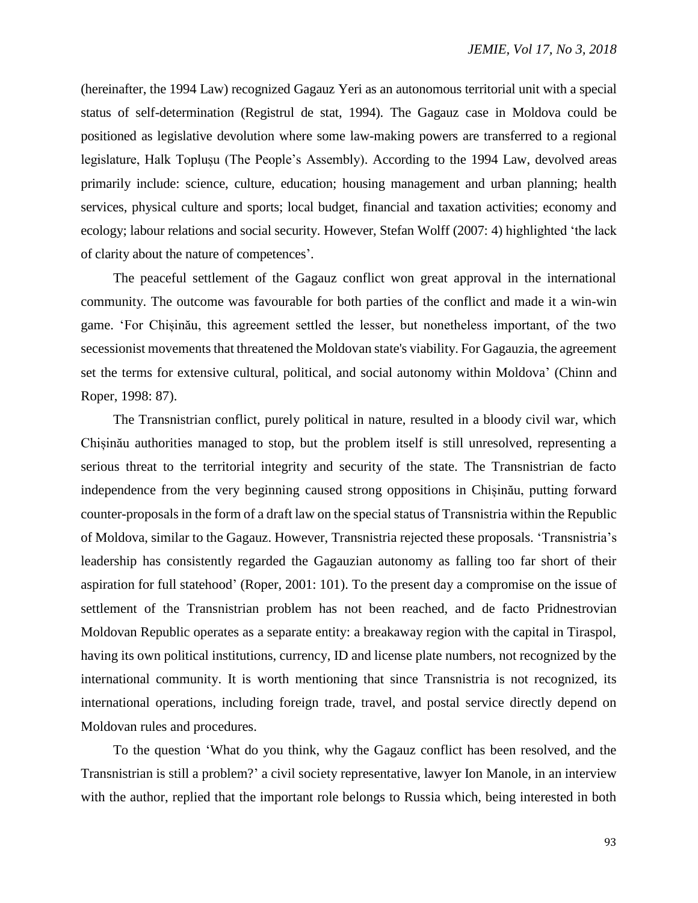(hereinafter, the 1994 Law) recognized Gagauz Yeri as an autonomous territorial unit with a special status of self-determination (Registrul de stat, 1994). The Gagauz case in Moldova could be positioned as legislative devolution where some law-making powers are transferred to a regional legislature, Halk Toplușu (The People's Assembly). According to the 1994 Law, devolved areas primarily include: science, culture, education; housing management and urban planning; health services, physical culture and sports; local budget, financial and taxation activities; economy and ecology; labour relations and social security. However, Stefan Wolff (2007: 4) highlighted 'the lack of clarity about the nature of competences'.

The peaceful settlement of the Gagauz conflict won great approval in the international community. The outcome was favourable for both parties of the conflict and made it a win-win game. 'For Chișinău, this agreement settled the lesser, but nonetheless important, of the two secessionist movements that threatened the Moldovan state's viability. For Gagauzia, the agreement set the terms for extensive cultural, political, and social autonomy within Moldova' (Chinn and Roper, 1998: 87).

The Transnistrian conflict, purely political in nature, resulted in a bloody civil war, which Chișinău authorities managed to stop, but the problem itself is still unresolved, representing a serious threat to the territorial integrity and security of the state. The Transnistrian de facto independence from the very beginning caused strong oppositions in Chișinău, putting forward counter-proposals in the form of a draft law on the special status of Transnistria within the Republic of Moldova, similar to the Gagauz. However, Transnistria rejected these proposals. 'Transnistria's leadership has consistently regarded the Gagauzian autonomy as falling too far short of their aspiration for full statehood' (Roper, 2001: 101). To the present day a compromise on the issue of settlement of the Transnistrian problem has not been reached, and de facto Pridnestrovian Moldovan Republic operates as a separate entity: a breakaway region with the capital in Tiraspol, having its own political institutions, currency, ID and license plate numbers, not recognized by the international community. It is worth mentioning that since Transnistria is not recognized, its international operations, including foreign trade, travel, and postal service directly depend on Moldovan rules and procedures.

To the question 'What do you think, why the Gagauz conflict has been resolved, and the Transnistrian is still a problem?' a civil society representative, lawyer Ion Manole, in an interview with the author, replied that the important role belongs to Russia which, being interested in both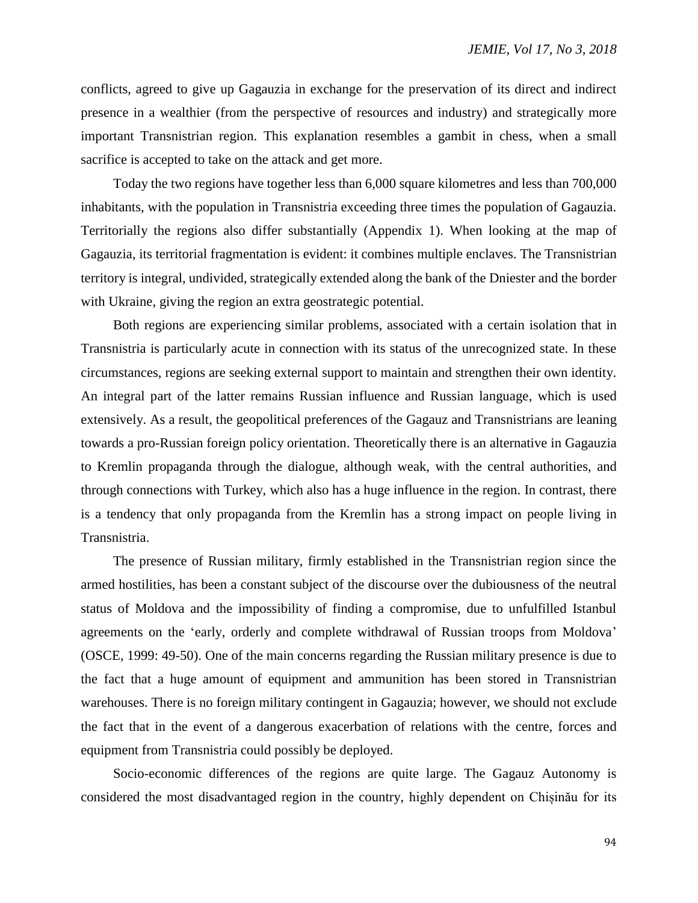conflicts, agreed to give up Gagauzia in exchange for the preservation of its direct and indirect presence in a wealthier (from the perspective of resources and industry) and strategically more important Transnistrian region. This explanation resembles a gambit in chess, when a small sacrifice is accepted to take on the attack and get more.

Today the two regions have together less than 6,000 square kilometres and less than 700,000 inhabitants, with the population in Transnistria exceeding three times the population of Gagauzia. Territorially the regions also differ substantially (Appendix 1). When looking at the map of Gagauzia, its territorial fragmentation is evident: it combines multiple enclaves. The Transnistrian territory is integral, undivided, strategically extended along the bank of the Dniester and the border with Ukraine, giving the region an extra geostrategic potential.

Both regions are experiencing similar problems, associated with a certain isolation that in Transnistria is particularly acute in connection with its status of the unrecognized state. In these circumstances, regions are seeking external support to maintain and strengthen their own identity. An integral part of the latter remains Russian influence and Russian language, which is used extensively. As a result, the geopolitical preferences of the Gagauz and Transnistrians are leaning towards a pro-Russian foreign policy orientation. Theoretically there is an alternative in Gagauzia to Kremlin propaganda through the dialogue, although weak, with the central authorities, and through connections with Turkey, which also has a huge influence in the region. In contrast, there is a tendency that only propaganda from the Kremlin has a strong impact on people living in Transnistria.

The presence of Russian military, firmly established in the Transnistrian region since the armed hostilities, has been a constant subject of the discourse over the dubiousness of the neutral status of Moldova and the impossibility of finding a compromise, due to unfulfilled Istanbul agreements on the 'early, orderly and complete withdrawal of Russian troops from Moldova' (OSCE, 1999: 49-50). One of the main concerns regarding the Russian military presence is due to the fact that a huge amount of equipment and ammunition has been stored in Transnistrian warehouses. There is no foreign military contingent in Gagauzia; however, we should not exclude the fact that in the event of a dangerous exacerbation of relations with the centre, forces and equipment from Transnistria could possibly be deployed.

Socio-economic differences of the regions are quite large. The Gagauz Autonomy is considered the most disadvantaged region in the country, highly dependent on Chișinău for its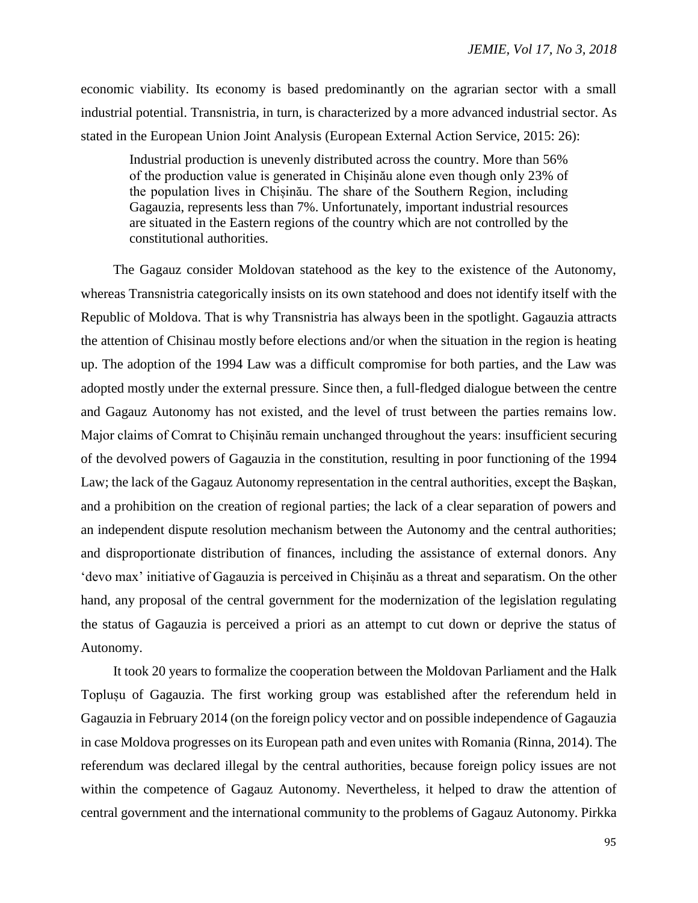economic viability. Its economy is based predominantly on the agrarian sector with a small industrial potential. Transnistria, in turn, is characterized by a more advanced industrial sector. As stated in the European Union Joint Analysis (European External Action Service, 2015: 26):

Industrial production is unevenly distributed across the country. More than 56% of the production value is generated in Chișinău alone even though only 23% of the population lives in Chișinău. The share of the Southern Region, including Gagauzia, represents less than 7%. Unfortunately, important industrial resources are situated in the Eastern regions of the country which are not controlled by the constitutional authorities.

The Gagauz consider Moldovan statehood as the key to the existence of the Autonomy, whereas Transnistria categorically insists on its own statehood and does not identify itself with the Republic of Moldova. That is why Transnistria has always been in the spotlight. Gagauzia attracts the attention of Chisinau mostly before elections and/or when the situation in the region is heating up. The adoption of the 1994 Law was a difficult compromise for both parties, and the Law was adopted mostly under the external pressure. Since then, a full-fledged dialogue between the centre and Gagauz Autonomy has not existed, and the level of trust between the parties remains low. Major claims of Comrat to Chișinău remain unchanged throughout the years: insufficient securing of the devolved powers of Gagauzia in the constitution, resulting in poor functioning of the 1994 Law; the lack of the Gagauz Autonomy representation in the central authorities, except the Bașkan, and a prohibition on the creation of regional parties; the lack of a clear separation of powers and an independent dispute resolution mechanism between the Autonomy and the central authorities; and disproportionate distribution of finances, including the assistance of external donors. Any 'devo max' initiative of Gagauzia is perceived in Chișinău as a threat and separatism. On the other hand, any proposal of the central government for the modernization of the legislation regulating the status of Gagauzia is perceived a priori as an attempt to cut down or deprive the status of Autonomy.

It took 20 years to formalize the cooperation between the Moldovan Parliament and the Halk Toplușu of Gagauzia. The first working group was established after the referendum held in Gagauzia in February 2014 (on the foreign policy vector and on possible independence of Gagauzia in case Moldova progresses on its European path and even unites with Romania (Rinna, 2014). The referendum was declared illegal by the central authorities, because foreign policy issues are not within the competence of Gagauz Autonomy. Nevertheless, it helped to draw the attention of central government and the international community to the problems of Gagauz Autonomy. Pirkka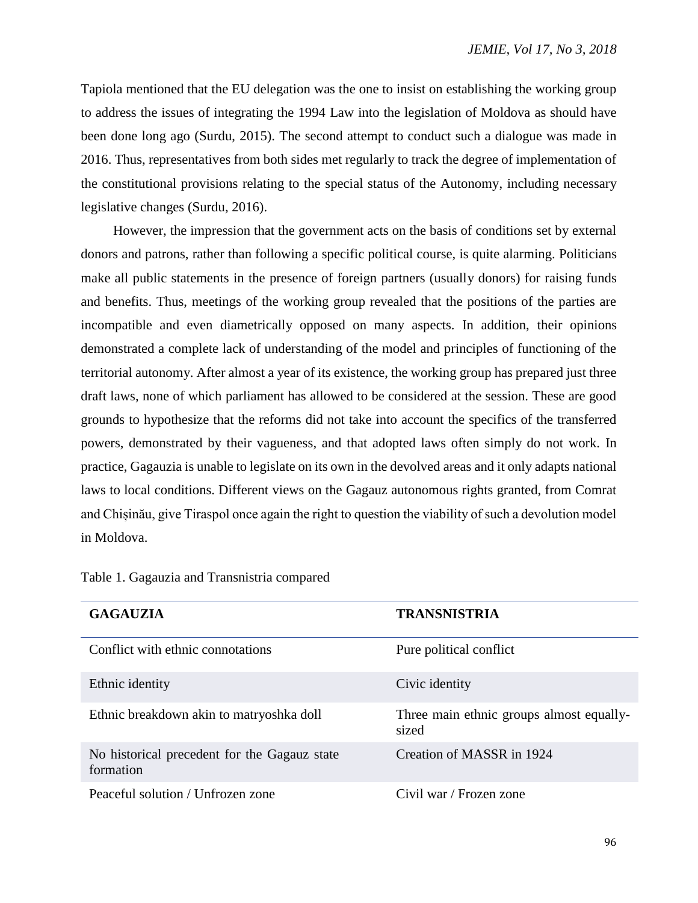Tapiola mentioned that the EU delegation was the one to insist on establishing the working group to address the issues of integrating the 1994 Law into the legislation of Moldova as should have been done long ago (Surdu, 2015). The second attempt to conduct such a dialogue was made in 2016. Thus, representatives from both sides met regularly to track the degree of implementation of the constitutional provisions relating to the special status of the Autonomy, including necessary legislative changes (Surdu, 2016).

However, the impression that the government acts on the basis of conditions set by external donors and patrons, rather than following a specific political course, is quite alarming. Politicians make all public statements in the presence of foreign partners (usually donors) for raising funds and benefits. Thus, meetings of the working group revealed that the positions of the parties are incompatible and even diametrically opposed on many aspects. In addition, their opinions demonstrated a complete lack of understanding of the model and principles of functioning of the territorial autonomy. After almost a year of its existence, the working group has prepared just three draft laws, none of which parliament has allowed to be considered at the session. These are good grounds to hypothesize that the reforms did not take into account the specifics of the transferred powers, demonstrated by their vagueness, and that adopted laws often simply do not work. In practice, Gagauzia is unable to legislate on its own in the devolved areas and it only adapts national laws to local conditions. Different views on the Gagauz autonomous rights granted, from Comrat and Chișinău, give Tiraspol once again the right to question the viability of such a devolution model in Moldova.

| <b>GAGAUZIA</b>                                           | <b>TRANSNISTRIA</b>                               |
|-----------------------------------------------------------|---------------------------------------------------|
| Conflict with ethnic connotations                         | Pure political conflict                           |
| Ethnic identity                                           | Civic identity                                    |
| Ethnic breakdown akin to matryoshka doll                  | Three main ethnic groups almost equally-<br>sized |
| No historical precedent for the Gagauz state<br>formation | Creation of MASSR in 1924                         |
| Peaceful solution / Unfrozen zone                         | Civil war / Frozen zone                           |

Table 1. Gagauzia and Transnistria compared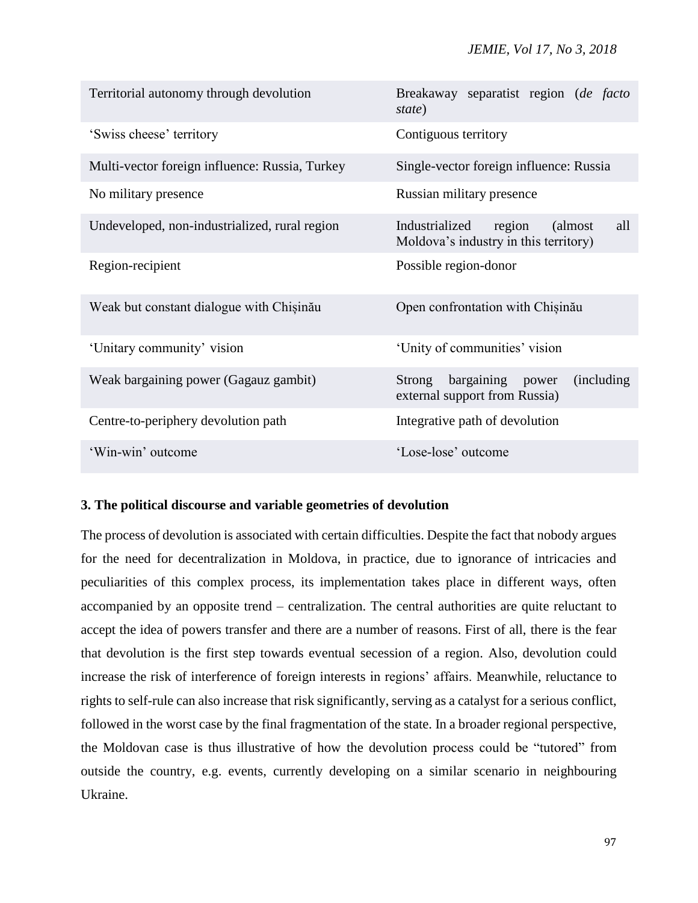| Territorial autonomy through devolution        | Breakaway separatist region (de facto<br>state)                                      |
|------------------------------------------------|--------------------------------------------------------------------------------------|
| 'Swiss cheese' territory                       | Contiguous territory                                                                 |
| Multi-vector foreign influence: Russia, Turkey | Single-vector foreign influence: Russia                                              |
| No military presence                           | Russian military presence                                                            |
| Undeveloped, non-industrialized, rural region  | Industrialized<br>region<br>(almost)<br>all<br>Moldova's industry in this territory) |
| Region-recipient                               | Possible region-donor                                                                |
| Weak but constant dialogue with Chisinău       | Open confrontation with Chisinău                                                     |
| 'Unitary community' vision                     | 'Unity of communities' vision                                                        |
| Weak bargaining power (Gagauz gambit)          | bargaining power<br><i>(including)</i><br>Strong<br>external support from Russia)    |
| Centre-to-periphery devolution path            | Integrative path of devolution                                                       |
| 'Win-win' outcome                              | 'Lose-lose' outcome                                                                  |

# **3. The political discourse and variable geometries of devolution**

The process of devolution is associated with certain difficulties. Despite the fact that nobody argues for the need for decentralization in Moldova, in practice, due to ignorance of intricacies and peculiarities of this complex process, its implementation takes place in different ways, often accompanied by an opposite trend – centralization. The central authorities are quite reluctant to accept the idea of powers transfer and there are a number of reasons. First of all, there is the fear that devolution is the first step towards eventual secession of a region. Also, devolution could increase the risk of interference of foreign interests in regions' affairs. Meanwhile, reluctance to rights to self-rule can also increase that risk significantly, serving as a catalyst for a serious conflict, followed in the worst case by the final fragmentation of the state. In a broader regional perspective, the Moldovan case is thus illustrative of how the devolution process could be "tutored" from outside the country, e.g. events, currently developing on a similar scenario in neighbouring Ukraine.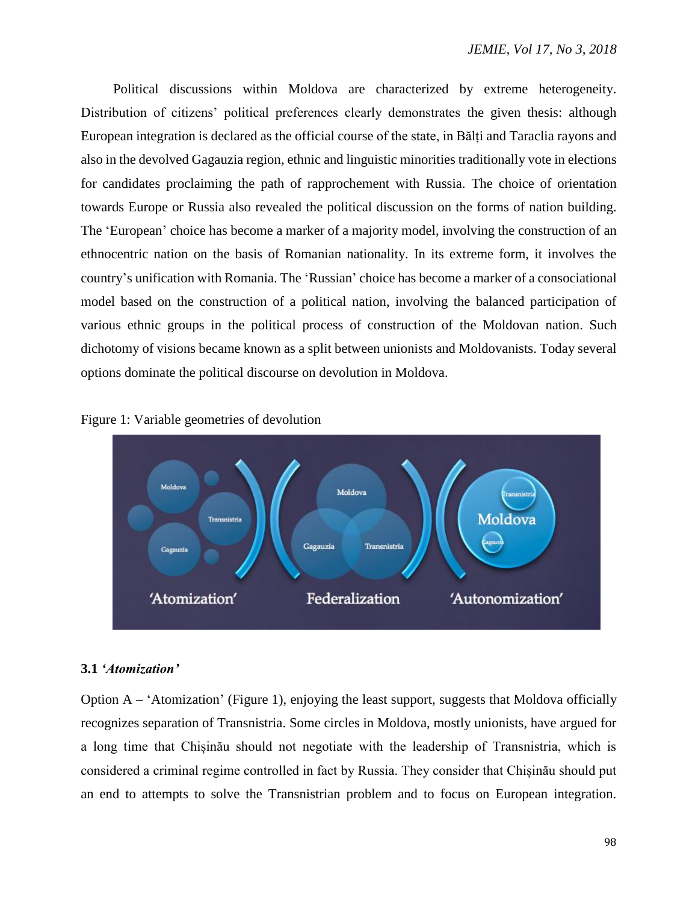Political discussions within Moldova are characterized by extreme heterogeneity. Distribution of citizens' political preferences clearly demonstrates the given thesis: although European integration is declared as the official course of the state, in Bălți and Taraclia rayons and also in the devolved Gagauzia region, ethnic and linguistic minorities traditionally vote in elections for candidates proclaiming the path of rapprochement with Russia. The choice of orientation towards Europe or Russia also revealed the political discussion on the forms of nation building. The 'European' choice has become a marker of a majority model, involving the construction of an ethnocentric nation on the basis of Romanian nationality. In its extreme form, it involves the country's unification with Romania. The 'Russian' choice has become a marker of a consociational model based on the construction of a political nation, involving the balanced participation of various ethnic groups in the political process of construction of the Moldovan nation. Such dichotomy of visions became known as a split between unionists and Moldovanists. Today several options dominate the political discourse on devolution in Moldova.





# **3.1** *'Atomization'*

Option  $A - 'Atomication'$  (Figure 1), enjoying the least support, suggests that Moldova officially recognizes separation of Transnistria. Some circles in Moldova, mostly unionists, have argued for a long time that Chișinău should not negotiate with the leadership of Transnistria, which is considered a criminal regime controlled in fact by Russia. They consider that Chișinău should put an end to attempts to solve the Transnistrian problem and to focus on European integration.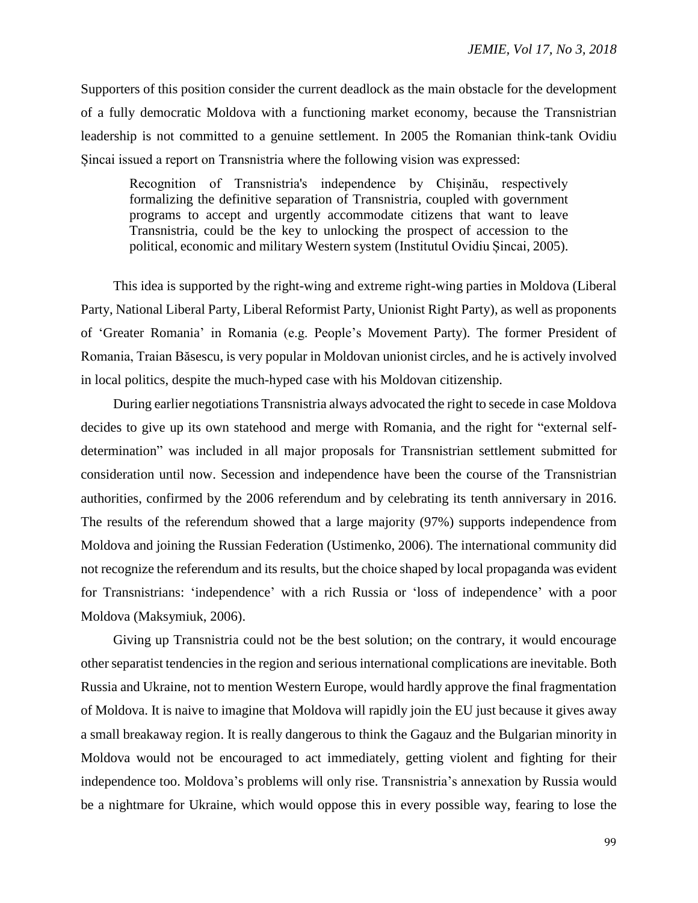Supporters of this position consider the current deadlock as the main obstacle for the development of a fully democratic Moldova with a functioning market economy, because the Transnistrian leadership is not committed to a genuine settlement. In 2005 the Romanian think-tank Ovidiu Șincai issued a report on Transnistria where the following vision was expressed:

Recognition of Transnistria's independence by Chișinău, respectively formalizing the definitive separation of Transnistria, coupled with government programs to accept and urgently accommodate citizens that want to leave Transnistria, could be the key to unlocking the prospect of accession to the political, economic and military Western system (Institutul Ovidiu Șincai, 2005).

This idea is supported by the right-wing and extreme right-wing parties in Moldova (Liberal Party, National Liberal Party, Liberal Reformist Party, Unionist Right Party), as well as proponents of 'Greater Romania' in Romania (e.g. People's Movement Party). The former President of Romania, Traian Băsescu, is very popular in Moldovan unionist circles, and he is actively involved in local politics, despite the much-hyped case with his Moldovan citizenship.

During earlier negotiations Transnistria always advocated the right to secede in case Moldova decides to give up its own statehood and merge with Romania, and the right for "external selfdetermination" was included in all major proposals for Transnistrian settlement submitted for consideration until now. Secession and independence have been the course of the Transnistrian authorities, confirmed by the 2006 referendum and by celebrating its tenth anniversary in 2016. The results of the referendum showed that a large majority (97%) supports independence from Moldova and joining the Russian Federation (Ustimenko, 2006). The international community did not recognize the referendum and its results, but the choice shaped by local propaganda was evident for Transnistrians: 'independence' with a rich Russia or 'loss of independence' with a poor Moldova (Maksymiuk, 2006).

Giving up Transnistria could not be the best solution; on the contrary, it would encourage other separatist tendencies in the region and serious international complications are inevitable. Both Russia and Ukraine, not to mention Western Europe, would hardly approve the final fragmentation of Moldova. It is naive to imagine that Moldova will rapidly join the EU just because it gives away a small breakaway region. It is really dangerous to think the Gagauz and the Bulgarian minority in Moldova would not be encouraged to act immediately, getting violent and fighting for their independence too. Moldova's problems will only rise. Transnistria's annexation by Russia would be a nightmare for Ukraine, which would oppose this in every possible way, fearing to lose the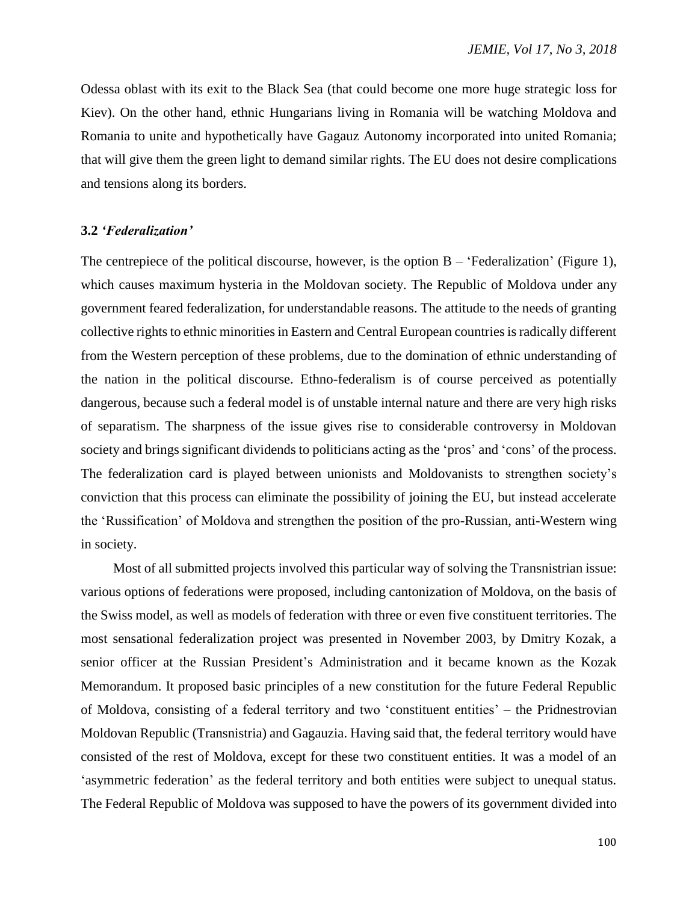Odessa oblast with its exit to the Black Sea (that could become one more huge strategic loss for Kiev). On the other hand, ethnic Hungarians living in Romania will be watching Moldova and Romania to unite and hypothetically have Gagauz Autonomy incorporated into united Romania; that will give them the green light to demand similar rights. The EU does not desire complications and tensions along its borders.

#### **3.2** *'Federalization'*

The centrepiece of the political discourse, however, is the option  $B - 'Federalization'$  (Figure 1), which causes maximum hysteria in the Moldovan society. The Republic of Moldova under any government feared federalization, for understandable reasons. The attitude to the needs of granting collective rights to ethnic minorities in Eastern and Central European countries is radically different from the Western perception of these problems, due to the domination of ethnic understanding of the nation in the political discourse. Ethno-federalism is of course perceived as potentially dangerous, because such a federal model is of unstable internal nature and there are very high risks of separatism. The sharpness of the issue gives rise to considerable controversy in Moldovan society and brings significant dividends to politicians acting as the 'pros' and 'cons' of the process. The federalization card is played between unionists and Moldovanists to strengthen society's conviction that this process can eliminate the possibility of joining the EU, but instead accelerate the 'Russification' of Moldova and strengthen the position of the pro-Russian, anti-Western wing in society.

Most of all submitted projects involved this particular way of solving the Transnistrian issue: various options of federations were proposed, including cantonization of Moldova, on the basis of the Swiss model, as well as models of federation with three or even five constituent territories. The most sensational federalization project was presented in November 2003, by Dmitry Kozak, a senior officer at the Russian President's Administration and it became known as the Kozak Memorandum. It proposed basic principles of a new constitution for the future Federal Republic of Moldova, consisting of a federal territory and two 'constituent entities' – the Pridnestrovian Moldovan Republic (Transnistria) and Gagauzia. Having said that, the federal territory would have consisted of the rest of Moldova, except for these two constituent entities. It was a model of an 'asymmetric federation' as the federal territory and both entities were subject to unequal status. The Federal Republic of Moldova was supposed to have the powers of its government divided into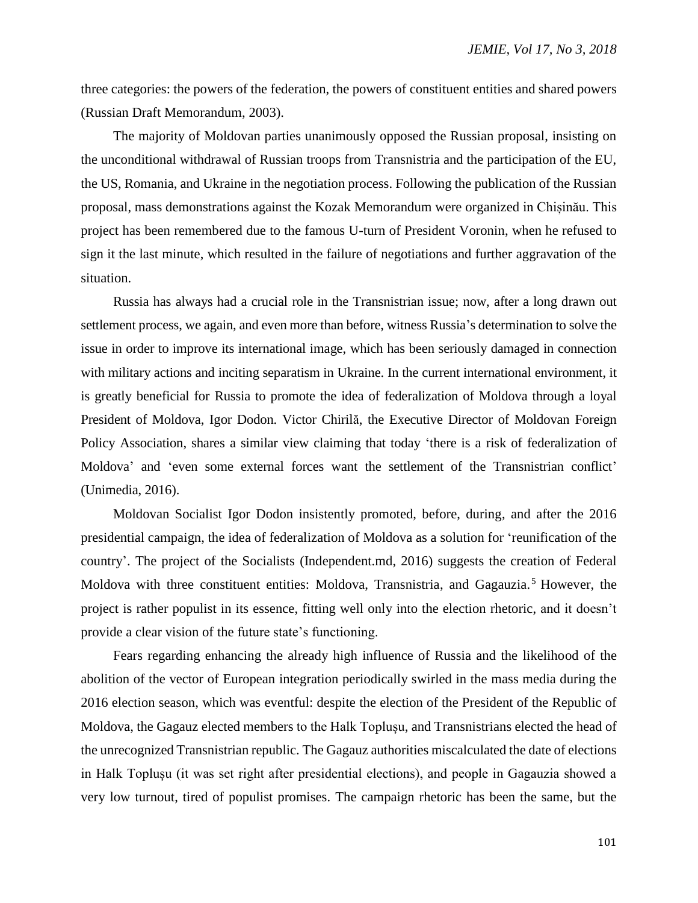three categories: the powers of the federation, the powers of constituent entities and shared powers (Russian Draft Memorandum, 2003).

The majority of Moldovan parties unanimously opposed the Russian proposal, insisting on the unconditional withdrawal of Russian troops from Transnistria and the participation of the EU, the US, Romania, and Ukraine in the negotiation process. Following the publication of the Russian proposal, mass demonstrations against the Kozak Memorandum were organized in Chișinău. This project has been remembered due to the famous U-turn of President Voronin, when he refused to sign it the last minute, which resulted in the failure of negotiations and further aggravation of the situation.

Russia has always had a crucial role in the Transnistrian issue; now, after a long drawn out settlement process, we again, and even more than before, witness Russia's determination to solve the issue in order to improve its international image, which has been seriously damaged in connection with military actions and inciting separatism in Ukraine. In the current international environment, it is greatly beneficial for Russia to promote the idea of federalization of Moldova through a loyal President of Moldova, Igor Dodon. Victor Chirilă, the Executive Director of Moldovan Foreign Policy Association, shares a similar view claiming that today 'there is a risk of federalization of Moldova' and 'even some external forces want the settlement of the Transnistrian conflict' (Unimedia, 2016).

Moldovan Socialist Igor Dodon insistently promoted, before, during, and after the 2016 presidential campaign, the idea of federalization of Moldova as a solution for 'reunification of the country'. The project of the Socialists (Independent.md, 2016) suggests the creation of Federal Moldova with three constituent entities: Moldova, Transnistria, and Gagauzia.<sup>5</sup> However, the project is rather populist in its essence, fitting well only into the election rhetoric, and it doesn't provide a clear vision of the future state's functioning.

Fears regarding enhancing the already high influence of Russia and the likelihood of the abolition of the vector of European integration periodically swirled in the mass media during the 2016 election season, which was eventful: despite the election of the President of the Republic of Moldova, the Gagauz elected members to the Halk Toplușu, and Transnistrians elected the head of the unrecognized Transnistrian republic. The Gagauz authorities miscalculated the date of elections in Halk Toplușu (it was set right after presidential elections), and people in Gagauzia showed a very low turnout, tired of populist promises. The campaign rhetoric has been the same, but the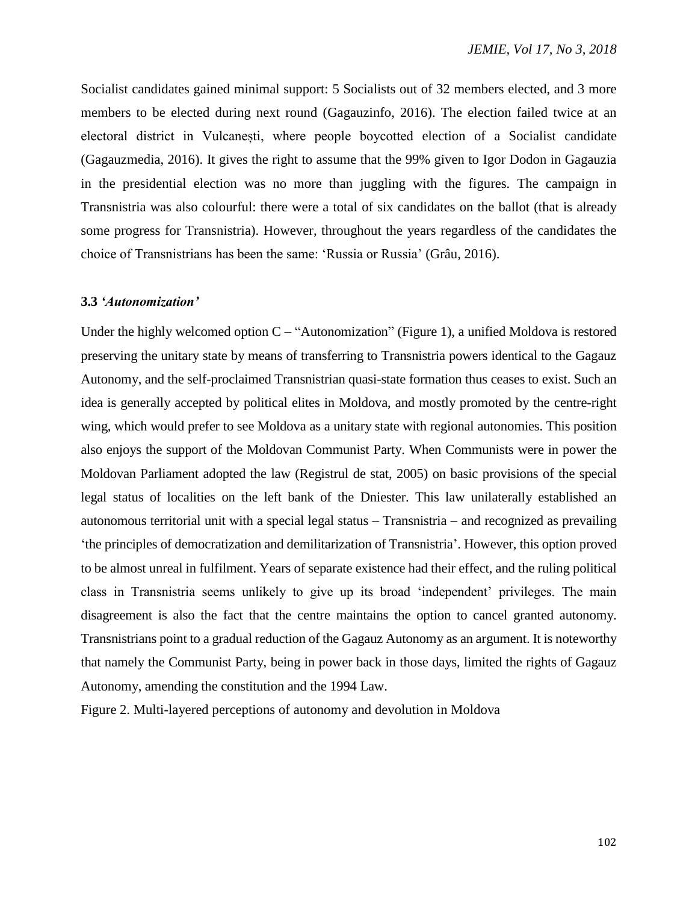Socialist candidates gained minimal support: 5 Socialists out of 32 members elected, and 3 more members to be elected during next round (Gagauzinfo, 2016). The election failed twice at an electoral district in Vulcanești, where people boycotted election of a Socialist candidate (Gagauzmedia, 2016). It gives the right to assume that the 99% given to Igor Dodon in Gagauzia in the presidential election was no more than juggling with the figures. The campaign in Transnistria was also colourful: there were a total of six candidates on the ballot (that is already some progress for Transnistria). However, throughout the years regardless of the candidates the choice of Transnistrians has been the same: 'Russia or Russia' (Grâu, 2016).

## **3.3** *'Autonomization'*

Under the highly welcomed option  $C - "Autonomization"$  (Figure 1), a unified Moldova is restored preserving the unitary state by means of transferring to Transnistria powers identical to the Gagauz Autonomy, and the self-proclaimed Transnistrian quasi-state formation thus ceases to exist. Such an idea is generally accepted by political elites in Moldova, and mostly promoted by the centre-right wing, which would prefer to see Moldova as a unitary state with regional autonomies. This position also enjoys the support of the Moldovan Communist Party. When Communists were in power the Moldovan Parliament adopted the law (Registrul de stat, 2005) on basic provisions of the special legal status of localities on the left bank of the Dniester. This law unilaterally established an autonomous territorial unit with a special legal status – Transnistria – and recognized as prevailing 'the principles of democratization and demilitarization of Transnistria'. However, this option proved to be almost unreal in fulfilment. Years of separate existence had their effect, and the ruling political class in Transnistria seems unlikely to give up its broad 'independent' privileges. The main disagreement is also the fact that the centre maintains the option to cancel granted autonomy. Transnistrians point to a gradual reduction of the Gagauz Autonomy as an argument. It is noteworthy that namely the Communist Party, being in power back in those days, limited the rights of Gagauz Autonomy, amending the constitution and the 1994 Law.

Figure 2. Multi-layered perceptions of autonomy and devolution in Moldova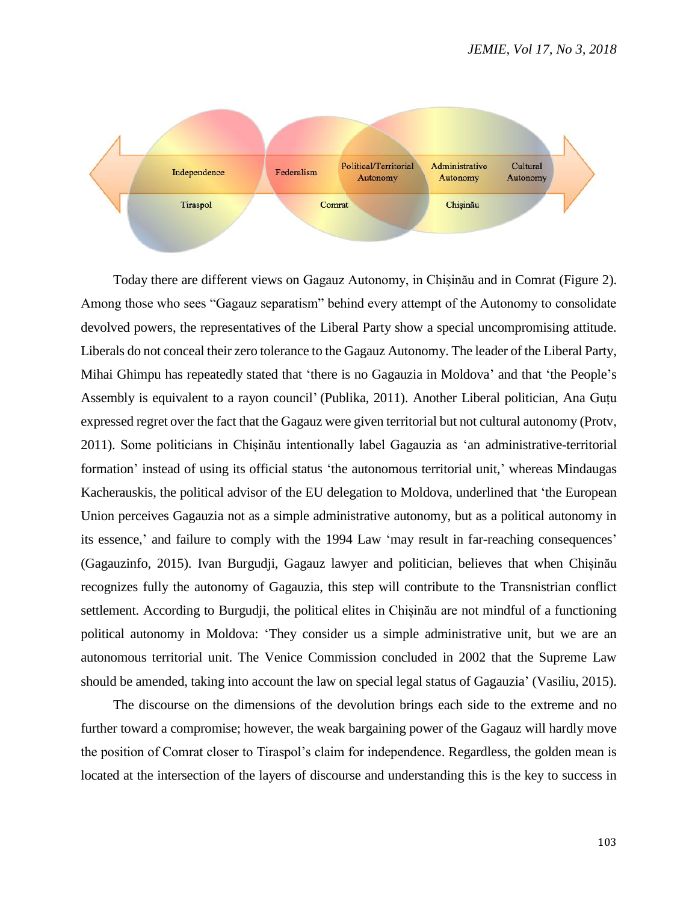

Today there are different views on Gagauz Autonomy, in Chișinău and in Comrat (Figure 2). Among those who sees "Gagauz separatism" behind every attempt of the Autonomy to consolidate devolved powers, the representatives of the Liberal Party show a special uncompromising attitude. Liberals do not conceal their zero tolerance to the Gagauz Autonomy. The leader of the Liberal Party, Mihai Ghimpu has repeatedly stated that 'there is no Gagauzia in Moldova' and that 'the People's Assembly is equivalent to a rayon council' (Publika, 2011). Another Liberal politician, Ana Guțu expressed regret over the fact that the Gagauz were given territorial but not cultural autonomy (Protv, 2011). Some politicians in Chișinău intentionally label Gagauzia as 'an administrative-territorial formation' instead of using its official status 'the autonomous territorial unit,' whereas Mindaugas Kacherauskis, the political advisor of the EU delegation to Moldova, underlined that 'the European Union perceives Gagauzia not as a simple administrative autonomy, but as a political autonomy in its essence,' and failure to comply with the 1994 Law 'may result in far-reaching consequences' (Gagauzinfo, 2015). Ivan Burgudji, Gagauz lawyer and politician, believes that when Chișinău recognizes fully the autonomy of Gagauzia, this step will contribute to the Transnistrian conflict settlement. According to Burgudji, the political elites in Chișinău are not mindful of a functioning political autonomy in Moldova: 'They consider us a simple administrative unit, but we are an autonomous territorial unit. The Venice Commission concluded in 2002 that the Supreme Law should be amended, taking into account the law on special legal status of Gagauzia' (Vasiliu, 2015).

The discourse on the dimensions of the devolution brings each side to the extreme and no further toward a compromise; however, the weak bargaining power of the Gagauz will hardly move the position of Comrat closer to Tiraspol's claim for independence. Regardless, the golden mean is located at the intersection of the layers of discourse and understanding this is the key to success in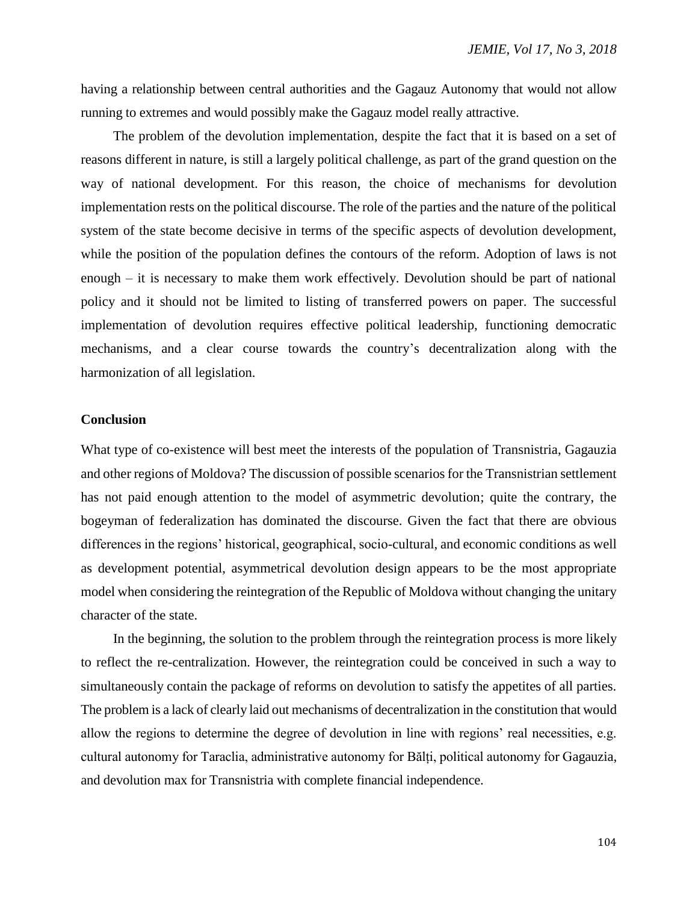having a relationship between central authorities and the Gagauz Autonomy that would not allow running to extremes and would possibly make the Gagauz model really attractive.

The problem of the devolution implementation, despite the fact that it is based on a set of reasons different in nature, is still a largely political challenge, as part of the grand question on the way of national development. For this reason, the choice of mechanisms for devolution implementation rests on the political discourse. The role of the parties and the nature of the political system of the state become decisive in terms of the specific aspects of devolution development, while the position of the population defines the contours of the reform. Adoption of laws is not enough – it is necessary to make them work effectively. Devolution should be part of national policy and it should not be limited to listing of transferred powers on paper. The successful implementation of devolution requires effective political leadership, functioning democratic mechanisms, and a clear course towards the country's decentralization along with the harmonization of all legislation.

## **Conclusion**

What type of co-existence will best meet the interests of the population of Transnistria, Gagauzia and other regions of Moldova? The discussion of possible scenarios for the Transnistrian settlement has not paid enough attention to the model of asymmetric devolution; quite the contrary, the bogeyman of federalization has dominated the discourse. Given the fact that there are obvious differences in the regions' historical, geographical, socio-cultural, and economic conditions as well as development potential, asymmetrical devolution design appears to be the most appropriate model when considering the reintegration of the Republic of Moldova without changing the unitary character of the state.

In the beginning, the solution to the problem through the reintegration process is more likely to reflect the re-centralization. However, the reintegration could be conceived in such a way to simultaneously contain the package of reforms on devolution to satisfy the appetites of all parties. The problem is a lack of clearly laid out mechanisms of decentralization in the constitution that would allow the regions to determine the degree of devolution in line with regions' real necessities, e.g. cultural autonomy for Taraclia, administrative autonomy for Bălți, political autonomy for Gagauzia, and devolution max for Transnistria with complete financial independence.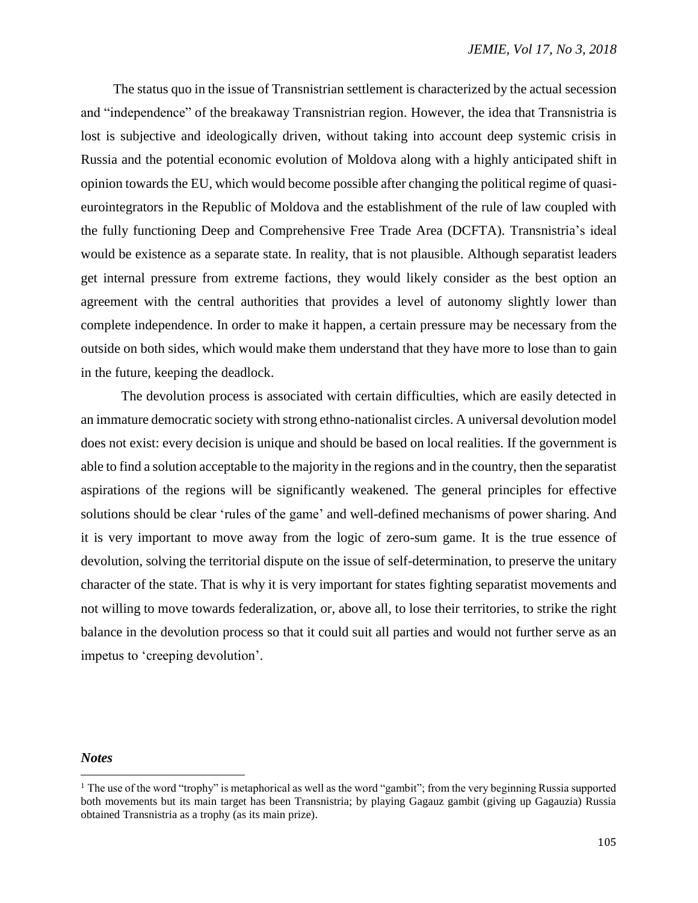The status quo in the issue of Transnistrian settlement is characterized by the actual secession and "independence" of the breakaway Transnistrian region. However, the idea that Transnistria is lost is subjective and ideologically driven, without taking into account deep systemic crisis in Russia and the potential economic evolution of Moldova along with a highly anticipated shift in opinion towards the EU, which would become possible after changing the political regime of quasieurointegrators in the Republic of Moldova and the establishment of the rule of law coupled with the fully functioning Deep and Comprehensive Free Trade Area (DCFTA). Transnistria's ideal would be existence as a separate state. In reality, that is not plausible. Although separatist leaders get internal pressure from extreme factions, they would likely consider as the best option an agreement with the central authorities that provides a level of autonomy slightly lower than complete independence. In order to make it happen, a certain pressure may be necessary from the outside on both sides, which would make them understand that they have more to lose than to gain in the future, keeping the deadlock.

The devolution process is associated with certain difficulties, which are easily detected in an immature democratic society with strong ethno-nationalist circles. A universal devolution model does not exist: every decision is unique and should be based on local realities. If the government is able to find a solution acceptable to the majority in the regions and in the country, then the separatist aspirations of the regions will be significantly weakened. The general principles for effective solutions should be clear 'rules of the game' and well-defined mechanisms of power sharing. And it is very important to move away from the logic of zero-sum game. It is the true essence of devolution, solving the territorial dispute on the issue of self-determination, to preserve the unitary character of the state. That is why it is very important for states fighting separatist movements and not willing to move towards federalization, or, above all, to lose their territories, to strike the right balance in the devolution process so that it could suit all parties and would not further serve as an impetus to 'creeping devolution'.

#### *Notes*

 $\overline{a}$ 

<sup>&</sup>lt;sup>1</sup> The use of the word "trophy" is metaphorical as well as the word "gambit"; from the very beginning Russia supported both movements but its main target has been Transnistria; by playing Gagauz gambit (giving up Gagauzia) Russia obtained Transnistria as a trophy (as its main prize).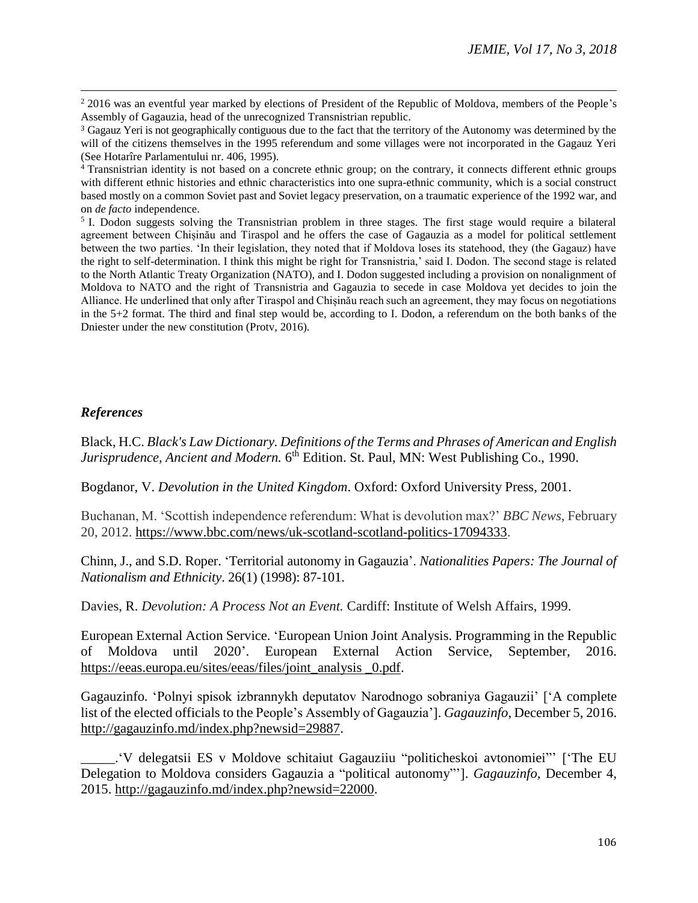<sup>2</sup> 2016 was an eventful year marked by elections of President of the Republic of Moldova, members of the People's Assembly of Gagauzia, head of the unrecognized Transnistrian republic.

<sup>4</sup> Transnistrian identity is not based on a concrete ethnic group; on the contrary, it connects different ethnic groups with different ethnic histories and ethnic characteristics into one supra-ethnic community, which is a social construct based mostly on a common Soviet past and Soviet legacy preservation, on a traumatic experience of the 1992 war, and on *de facto* independence.

<sup>5</sup> I. Dodon suggests solving the Transnistrian problem in three stages. The first stage would require a bilateral agreement between Chișinău and Tiraspol and he offers the case of Gagauzia as a model for political settlement between the two parties. 'In their legislation, they noted that if Moldova loses its statehood, they (the Gagauz) have the right to self-determination. I think this might be right for Transnistria,' said I. Dodon. The second stage is related to the North Atlantic Treaty Organization (NATO), and I. Dodon suggested including a provision on nonalignment of Moldova to NATO and the right of Transnistria and Gagauzia to secede in case Moldova yet decides to join the Alliance. He underlined that only after Tiraspol and Chișinău reach such an agreement, they may focus on negotiations in the 5+2 format. The third and final step would be, according to I. Dodon, a referendum on the both banks of the Dniester under the new constitution (Protv, 2016).

# *References*

 $\overline{a}$ 

Black, H.C. *Black's Law Dictionary. Definitions of the Terms and Phrases of American and English*  Jurisprudence, Ancient and Modern. 6<sup>th</sup> Edition. St. Paul, MN: West Publishing Co., 1990.

Bogdanor, V. *Devolution in the United Kingdom*. Oxford: Oxford University Press, 2001.

Buchanan, M. 'Scottish independence referendum: What is devolution max?' *BBC News,* February 20, 2012. https://www.bbc.com/news/uk-scotland-scotland-politics-17094333.

Chinn, J., and S.D. Roper. 'Territorial autonomy in Gagauzia'. *Nationalities Papers: The Journal of Nationalism and Ethnicity*. 26(1) (1998): 87-101.

Davies, R. *Devolution: A Process Not an Event.* Cardiff: Institute of Welsh Affairs, 1999.

European External Action Service. 'European Union Joint Analysis. Programming in the Republic of Moldova until 2020'. European External Action Service, September, 2016. https://eeas.europa.eu/sites/eeas/files/joint\_analysis \_0.pdf.

Gagauzinfo*.* 'Polnyi spisok izbrannykh deputatov Narodnogo sobraniya Gagauzii' ['A complete list of the elected officials to the People's Assembly of Gagauzia']. *Gagauzinfo*, December 5, 2016. http://gagauzinfo.md/index.php?newsid=29887.

\_\_\_\_\_.'V delegatsii ES v Moldove schitaiut Gagauziiu "politicheskoi avtonomiei"' ['The EU Delegation to Moldova considers Gagauzia a "political autonomy"']. *Gagauzinfo,* December 4, 2015. http://gagauzinfo.md/index.php?newsid=22000.

<sup>&</sup>lt;sup>3</sup> Gagauz Yeri is not geographically contiguous due to the fact that the territory of the Autonomy was determined by the will of the citizens themselves in the 1995 referendum and some villages were not incorporated in the Gagauz Yeri (See Hotarîre Parlamentului nr. 406, 1995).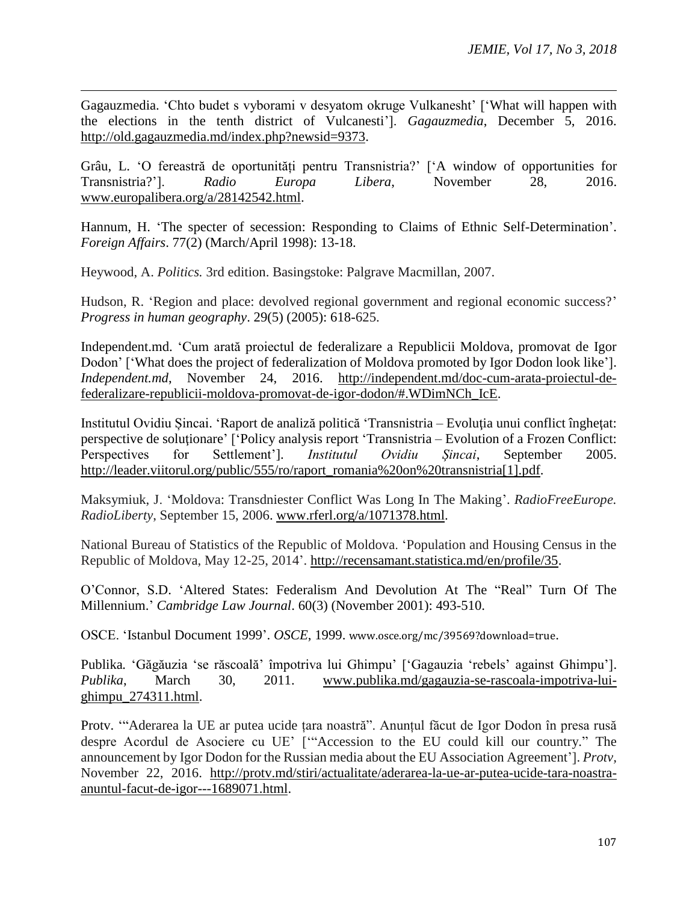Gagauzmedia. 'Chto budet s vyborami v desyatom okruge Vulkanesht' ['What will happen with the elections in the tenth district of Vulcanesti']. *Gagauzmedia*, December 5, 2016. http://old.gagauzmedia.md/index.php?newsid=9373.

Grâu, L. 'O fereastră de oportunități pentru Transnistria?' ['A window of opportunities for Transnistria?']. *Radio Europa Libera*, November 28, 2016. www.europalibera.org/a/28142542.html.

Hannum, H. 'The specter of secession: Responding to Claims of Ethnic Self-Determination'. *Foreign Affairs*. 77(2) (March/April 1998): 13-18.

Heywood, A. *Politics.* 3rd edition. Basingstoke: Palgrave Macmillan, 2007.

 $\overline{a}$ 

Hudson, R. 'Region and place: devolved regional government and regional economic success?' *Progress in human geography*. 29(5) (2005): 618-625.

Independent.md. 'Cum arată proiectul de federalizare a Republicii Moldova, promovat de Igor Dodon' ['What does the project of federalization of Moldova promoted by Igor Dodon look like']. *Independent.md*, November 24, 2016. http://independent.md/doc-cum-arata-proiectul-defederalizare-republicii-moldova-promovat-de-igor-dodon/#.WDimNCh\_IcE.

Institutul Ovidiu Șincai. 'Raport de analiză politică 'Transnistria – Evoluţia unui conflict îngheţat: perspective de soluționare' ['Policy analysis report 'Transnistria – Evolution of a Frozen Conflict: Perspectives for Settlement']. *Institutul Ovidiu Șincai*, September 2005. http://leader.viitorul.org/public/555/ro/raport\_romania%20on%20transnistria[1].pdf.

Maksymiuk, J. 'Moldova: Transdniester Conflict Was Long In The Making'. *RadioFreeEurope. RadioLiberty*, September 15, 2006. www.rferl.org/a/1071378.html.

National Bureau of Statistics of the Republic of Moldova. 'Population and Housing Census in the Republic of Moldova, May 12-25, 2014'. http://recensamant.statistica.md/en/profile/35.

O'Connor, S.D. 'Altered States: Federalism And Devolution At The "Real" Turn Of The Millennium.' *Cambridge Law Journal*. 60(3) (November 2001): 493-510.

OSCE. 'Istanbul Document 1999'. *OSCE*, 1999. www.osce.org/mc/39569?download=true.

Publika*.* 'Găgăuzia 'se răscoală' împotriva lui Ghimpu' ['Gagauzia 'rebels' against Ghimpu']. *Publika*, March 30, 2011. www.publika.md/gagauzia-se-rascoala-impotriva-luighimpu\_274311.html.

Protv. '"Aderarea la UE ar putea ucide țara noastră". Anunțul făcut de Igor Dodon în presa rusă despre Acordul de Asociere cu UE' ['"Accession to the EU could kill our country." The announcement by Igor Dodon for the Russian media about the EU Association Agreement']. *Protv,* November 22, 2016. http://protv.md/stiri/actualitate/aderarea-la-ue-ar-putea-ucide-tara-noastraanuntul-facut-de-igor---1689071.html.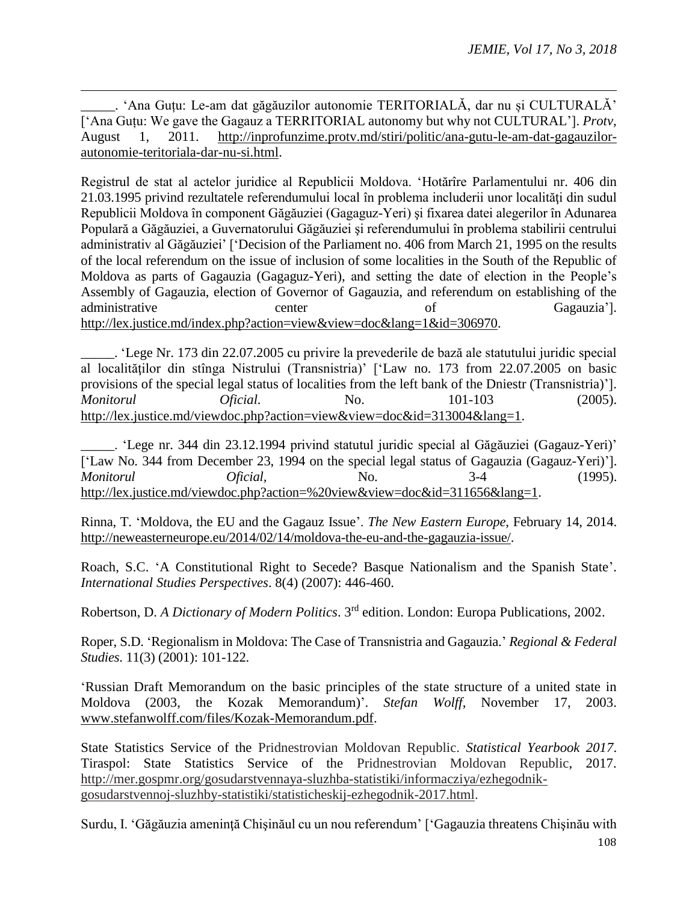\_\_\_\_\_. 'Ana Guțu: Le-am dat găgăuzilor autonomie TERITORIALĂ, dar nu și CULTURALĂ' ['Ana Guțu: We gave the Gagauz a TERRITORIAL autonomy but why not CULTURAL']. *Protv,* August 1, 2011. http://inprofunzime.protv.md/stiri/politic/ana-gutu-le-am-dat-gagauzilorautonomie-teritoriala-dar-nu-si.html.

 $\overline{a}$ 

Registrul de stat al actelor juridice al Republicii Moldova. 'Hotărîre Parlamentului nr. 406 din 21.03.1995 privind rezultatele referendumului local în problema includerii unor localităţi din sudul Republicii Moldova în component Găgăuziei (Gagaguz-Yeri) şi fixarea datei alegerilor în Adunarea Populară a Găgăuziei, a Guvernatorului Găgăuziei şi referendumului în problema stabilirii centrului administrativ al Găgăuziei' ['Decision of the Parliament no. 406 from March 21, 1995 on the results of the local referendum on the issue of inclusion of some localities in the South of the Republic of Moldova as parts of Gagauzia (Gagaguz-Yeri), and setting the date of election in the People's Assembly of Gagauzia, election of Governor of Gagauzia, and referendum on establishing of the administrative center of Gagauzia']. http://lex.justice.md/index.php?action=view&view=doc&lang=1&id=306970.

\_\_\_\_\_. 'Lege Nr. 173 din 22.07.2005 cu privire la prevederile de bază ale statutului juridic special al localităţilor din stînga Nistrului (Transnistria)' ['Law no. 173 from 22.07.2005 on basic provisions of the special legal status of localities from the left bank of the Dniestr (Transnistria)']. *Monitorul Oficial.* No. 101-103 (2005). http://lex.justice.md/viewdoc.php?action=view&view=doc&id=313004&lang=1.

\_\_\_\_\_. 'Lege nr. 344 din 23.12.1994 privind statutul juridic special al Găgăuziei (Gagauz-Yeri)' ['Law No. 344 from December 23, 1994 on the special legal status of Gagauzia (Gagauz-Yeri)']. *Monitorul Oficial,* No. 3-4 (1995). http://lex.justice.md/viewdoc.php?action=%20view&view=doc&id=311656&lang=1.

Rinna, T. 'Moldova, the EU and the Gagauz Issue'. *The New Eastern Europe*, February 14, 2014. http://neweasterneurope.eu/2014/02/14/moldova-the-eu-and-the-gagauzia-issue/.

Roach, S.C. 'A Constitutional Right to Secede? Basque Nationalism and the Spanish State'. *International Studies Perspectives*. 8(4) (2007): 446-460.

Robertson, D. *A Dictionary of Modern Politics*. 3rd edition. London: Europa Publications, 2002.

Roper, S.D. 'Regionalism in Moldova: The Case of Transnistria and Gagauzia.' *Regional & Federal Studies*. 11(3) (2001): 101-122.

'Russian Draft Memorandum on the basic principles of the state structure of a united state in Moldova (2003, the Kozak Memorandum)'. *Stefan Wolff*, November 17, 2003. www.stefanwolff.com/files/Kozak-Memorandum.pdf.

State Statistics Service of the Pridnestrovian Moldovan Republic. *Statistical Yearbook 2017*. Tiraspol: State Statistics Service of the Pridnestrovian Moldovan Republic, 2017. http://mer.gospmr.org/gosudarstvennaya-sluzhba-statistiki/informacziya/ezhegodnikgosudarstvennoj-sluzhby-statistiki/statisticheskij-ezhegodnik-2017.html.

108 Surdu, I. 'Găgăuzia ameninţă Chişinăul cu un nou referendum' ['Gagauzia threatens Chişinău with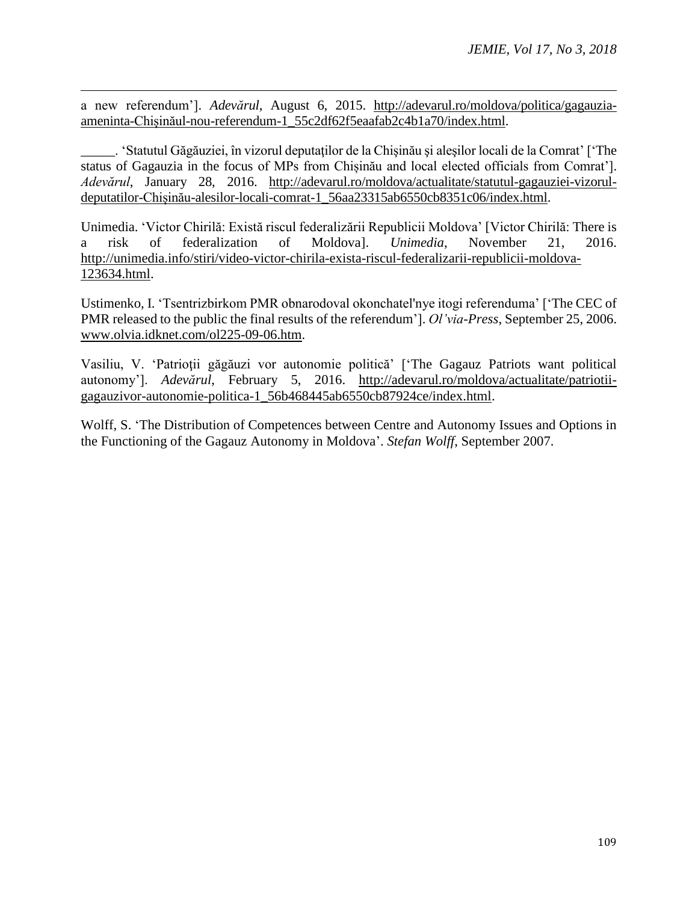a new referendum']. *Adevărul*, August 6, 2015. http://adevarul.ro/moldova/politica/gagauziaameninta-Chișinăul-nou-referendum-1\_55c2df62f5eaafab2c4b1a70/index.html.

 $\overline{a}$ 

\_\_\_\_\_. 'Statutul Găgăuziei, în vizorul deputaţilor de la Chişinău şi aleşilor locali de la Comrat' ['The status of Gagauzia in the focus of MPs from Chișinău and local elected officials from Comrat']. *Adevărul*, January 28, 2016. http://adevarul.ro/moldova/actualitate/statutul-gagauziei-vizoruldeputatilor-Chișinău-alesilor-locali-comrat-1\_56aa23315ab6550cb8351c06/index.html.

Unimedia. 'Victor Chirilă: Există riscul federalizării Republicii Moldova' [Victor Chirilă: There is a risk of federalization of Moldova]. *Unimedia*, November 21, 2016. http://unimedia.info/stiri/video-victor-chirila-exista-riscul-federalizarii-republicii-moldova-123634.html.

Ustimenko, I. 'Tsentrizbirkom PMR obnarodoval okonchatel'nye itogi referenduma' ['The CEC of PMR released to the public the final results of the referendum']. *Ol'via-Press*, September 25, 2006. www.olvia.idknet.com/ol225-09-06.htm.

Vasiliu, V. 'Patrioţii găgăuzi vor autonomie politică' ['The Gagauz Patriots want political autonomy']. *Adevărul*, February 5, 2016. http://adevarul.ro/moldova/actualitate/patriotiigagauzivor-autonomie-politica-1\_56b468445ab6550cb87924ce/index.html.

Wolff, S. 'The Distribution of Competences between Centre and Autonomy Issues and Options in the Functioning of the Gagauz Autonomy in Moldova'. *Stefan Wolff*, September 2007.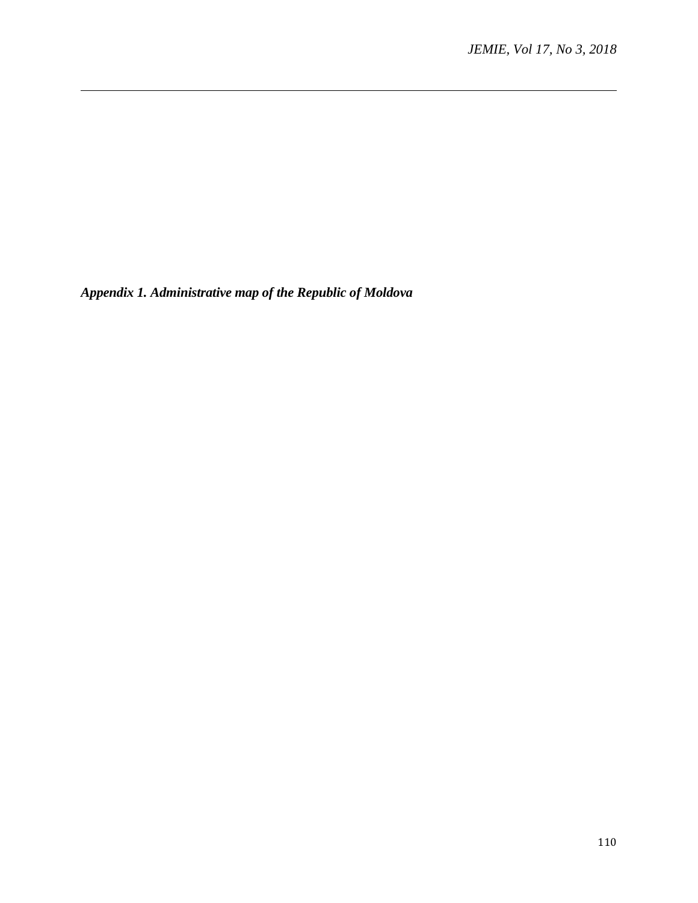*Appendix 1. Administrative map of the Republic of Moldova*

 $\overline{a}$